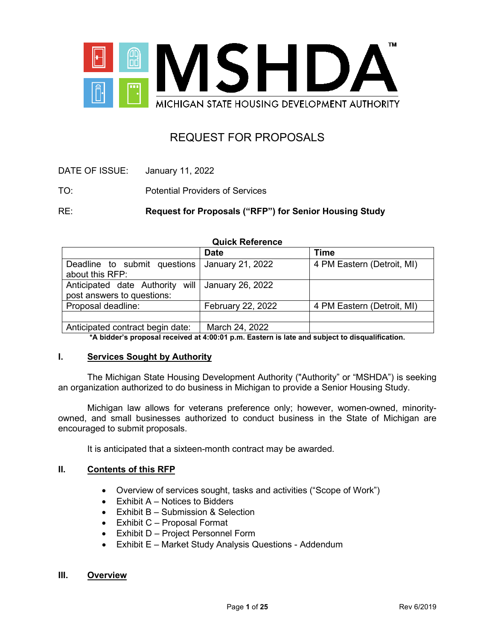

# REQUEST FOR PROPOSALS

| DATE OF ISSUE: | January 11, 2022 |
|----------------|------------------|
|----------------|------------------|

TO: Potential Providers of Services

RE: **Request for Proposals ("RFP") for Senior Housing Study** 

| <b>Quick Reference</b>                                        |                   |                            |  |
|---------------------------------------------------------------|-------------------|----------------------------|--|
|                                                               | <b>Date</b>       | <b>Time</b>                |  |
| Deadline to submit questions<br>about this RFP:               | January 21, 2022  | 4 PM Eastern (Detroit, MI) |  |
| Anticipated date Authority will<br>post answers to questions: | January 26, 2022  |                            |  |
| Proposal deadline:                                            | February 22, 2022 | 4 PM Eastern (Detroit, MI) |  |
|                                                               |                   |                            |  |
| Anticipated contract begin date:                              | March 24, 2022    |                            |  |

**\*A bidder's proposal received at 4:00:01 p.m. Eastern is late and subject to disqualification.**

#### **I. Services Sought by Authority**

The Michigan State Housing Development Authority ("Authority" or "MSHDA") is seeking an organization authorized to do business in Michigan to provide a Senior Housing Study.

Michigan law allows for veterans preference only; however, women-owned, minorityowned, and small businesses authorized to conduct business in the State of Michigan are encouraged to submit proposals.

It is anticipated that a sixteen-month contract may be awarded.

#### **II. Contents of this RFP**

- Overview of services sought, tasks and activities ("Scope of Work")
- $\bullet$  Exhibit A Notices to Bidders
- Exhibit B Submission & Selection
- Exhibit C Proposal Format
- Exhibit D Project Personnel Form
- Exhibit E Market Study Analysis Questions Addendum

#### **III. Overview**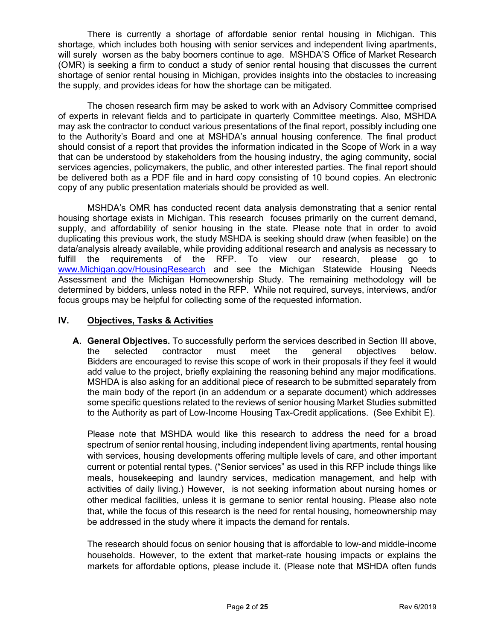There is currently a shortage of affordable senior rental housing in Michigan. This shortage, which includes both housing with senior services and independent living apartments, will surely worsen as the baby boomers continue to age. MSHDA'S Office of Market Research (OMR) is seeking a firm to conduct a study of senior rental housing that discusses the current shortage of senior rental housing in Michigan, provides insights into the obstacles to increasing the supply, and provides ideas for how the shortage can be mitigated.

The chosen research firm may be asked to work with an Advisory Committee comprised of experts in relevant fields and to participate in quarterly Committee meetings. Also, MSHDA may ask the contractor to conduct various presentations of the final report, possibly including one to the Authority's Board and one at MSHDA's annual housing conference. The final product should consist of a report that provides the information indicated in the Scope of Work in a way that can be understood by stakeholders from the housing industry, the aging community, social services agencies, policymakers, the public, and other interested parties. The final report should be delivered both as a PDF file and in hard copy consisting of 10 bound copies. An electronic copy of any public presentation materials should be provided as well.

MSHDA's OMR has conducted recent data analysis demonstrating that a senior rental housing shortage exists in Michigan. This research focuses primarily on the current demand, supply, and affordability of senior housing in the state. Please note that in order to avoid duplicating this previous work, the study MSHDA is seeking should draw (when feasible) on the data/analysis already available, while providing additional research and analysis as necessary to fulfill the requirements of the RFP. To view our research, please go to [www.Michigan.gov/HousingResearch](http://www.michigan.gov/HousingResearch) and see the Michigan Statewide Housing Needs Assessment and the Michigan Homeownership Study. The remaining methodology will be determined by bidders, unless noted in the RFP. While not required, surveys, interviews, and/or focus groups may be helpful for collecting some of the requested information.

# **IV. Objectives, Tasks & Activities**

**A. General Objectives.** To successfully perform the services described in Section III above, the selected contractor must meet the general objectives below. Bidders are encouraged to revise this scope of work in their proposals if they feel it would add value to the project, briefly explaining the reasoning behind any major modifications. MSHDA is also asking for an additional piece of research to be submitted separately from the main body of the report (in an addendum or a separate document) which addresses some specific questions related to the reviews of senior housing Market Studies submitted to the Authority as part of Low-Income Housing Tax-Credit applications. (See Exhibit E).

Please note that MSHDA would like this research to address the need for a broad spectrum of senior rental housing, including independent living apartments, rental housing with services, housing developments offering multiple levels of care, and other important current or potential rental types. ("Senior services" as used in this RFP include things like meals, housekeeping and laundry services, medication management, and help with activities of daily living.) However, is not seeking information about nursing homes or other medical facilities, unless it is germane to senior rental housing. Please also note that, while the focus of this research is the need for rental housing, homeownership may be addressed in the study where it impacts the demand for rentals.

The research should focus on senior housing that is affordable to low-and middle-income households. However, to the extent that market-rate housing impacts or explains the markets for affordable options, please include it. (Please note that MSHDA often funds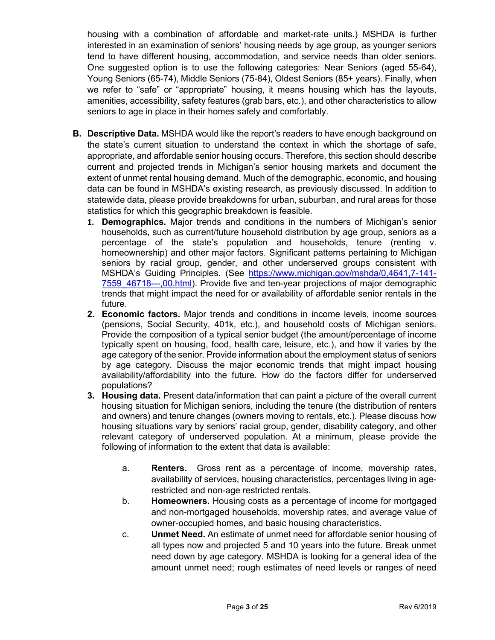housing with a combination of affordable and market-rate units.) MSHDA is further interested in an examination of seniors' housing needs by age group, as younger seniors tend to have different housing, accommodation, and service needs than older seniors. One suggested option is to use the following categories: Near Seniors (aged 55-64), Young Seniors (65-74), Middle Seniors (75-84), Oldest Seniors (85+ years). Finally, when we refer to "safe" or "appropriate" housing, it means housing which has the layouts, amenities, accessibility, safety features (grab bars, etc.), and other characteristics to allow seniors to age in place in their homes safely and comfortably.

- **B. Descriptive Data.** MSHDA would like the report's readers to have enough background on the state's current situation to understand the context in which the shortage of safe, appropriate, and affordable senior housing occurs. Therefore, this section should describe current and projected trends in Michigan's senior housing markets and document the extent of unmet rental housing demand. Much of the demographic, economic, and housing data can be found in MSHDA's existing research, as previously discussed. In addition to statewide data, please provide breakdowns for urban, suburban, and rural areas for those statistics for which this geographic breakdown is feasible.
	- **1. Demographics.** Major trends and conditions in the numbers of Michigan's senior households, such as current/future household distribution by age group, seniors as a percentage of the state's population and households, tenure (renting v. homeownership) and other major factors. Significant patterns pertaining to Michigan seniors by racial group, gender, and other underserved groups consistent with MSHDA's Guiding Principles. (See [https://www.michigan.gov/mshda/0,4641,7-141-](https://www.michigan.gov/mshda/0,4641,7-141-7559_46718---,00.html) [7559\\_46718---,00.html\)](https://www.michigan.gov/mshda/0,4641,7-141-7559_46718---,00.html). Provide five and ten-year projections of major demographic trends that might impact the need for or availability of affordable senior rentals in the future.
	- **2. Economic factors.** Major trends and conditions in income levels, income sources (pensions, Social Security, 401k, etc.), and household costs of Michigan seniors. Provide the composition of a typical senior budget (the amount/percentage of income typically spent on housing, food, health care, leisure, etc.), and how it varies by the age category of the senior. Provide information about the employment status of seniors by age category. Discuss the major economic trends that might impact housing availability/affordability into the future. How do the factors differ for underserved populations?
	- **3. Housing data.** Present data/information that can paint a picture of the overall current housing situation for Michigan seniors, including the tenure (the distribution of renters and owners) and tenure changes (owners moving to rentals, etc.). Please discuss how housing situations vary by seniors' racial group, gender, disability category, and other relevant category of underserved population. At a minimum, please provide the following of information to the extent that data is available:
		- a. **Renters.** Gross rent as a percentage of income, movership rates, availability of services, housing characteristics, percentages living in agerestricted and non-age restricted rentals.
		- b. **Homeowners.** Housing costs as a percentage of income for mortgaged and non-mortgaged households, movership rates, and average value of owner-occupied homes, and basic housing characteristics.
		- c. **Unmet Need.** An estimate of unmet need for affordable senior housing of all types now and projected 5 and 10 years into the future. Break unmet need down by age category. MSHDA is looking for a general idea of the amount unmet need; rough estimates of need levels or ranges of need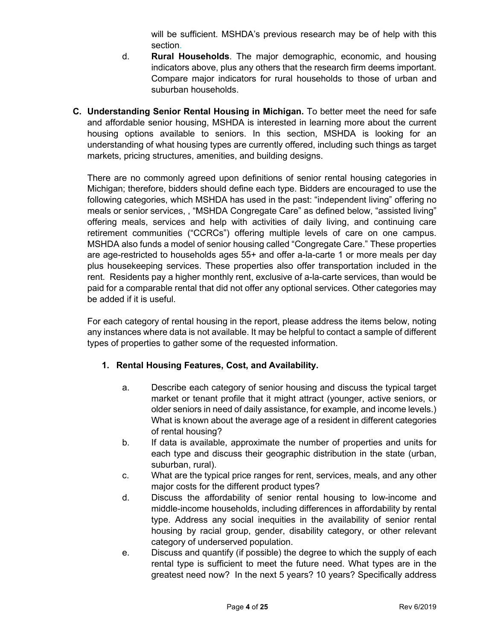will be sufficient. MSHDA's previous research may be of help with this section.

- d. **Rural Households**. The major demographic, economic, and housing indicators above, plus any others that the research firm deems important. Compare major indicators for rural households to those of urban and suburban households.
- **C. Understanding Senior Rental Housing in Michigan.** To better meet the need for safe and affordable senior housing, MSHDA is interested in learning more about the current housing options available to seniors. In this section, MSHDA is looking for an understanding of what housing types are currently offered, including such things as target markets, pricing structures, amenities, and building designs.

There are no commonly agreed upon definitions of senior rental housing categories in Michigan; therefore, bidders should define each type. Bidders are encouraged to use the following categories, which MSHDA has used in the past: "independent living" offering no meals or senior services, , "MSHDA Congregate Care" as defined below, "assisted living" offering meals, services and help with activities of daily living, and continuing care retirement communities ("CCRCs") offering multiple levels of care on one campus. MSHDA also funds a model of senior housing called "Congregate Care." These properties are age-restricted to households ages 55+ and offer a-la-carte 1 or more meals per day plus housekeeping services. These properties also offer transportation included in the rent. Residents pay a higher monthly rent, exclusive of a-la-carte services, than would be paid for a comparable rental that did not offer any optional services. Other categories may be added if it is useful.

For each category of rental housing in the report, please address the items below, noting any instances where data is not available. It may be helpful to contact a sample of different types of properties to gather some of the requested information.

# **1. Rental Housing Features, Cost, and Availability.**

- a. Describe each category of senior housing and discuss the typical target market or tenant profile that it might attract (younger, active seniors, or older seniors in need of daily assistance, for example, and income levels.) What is known about the average age of a resident in different categories of rental housing?
- b. If data is available, approximate the number of properties and units for each type and discuss their geographic distribution in the state (urban, suburban, rural).
- c. What are the typical price ranges for rent, services, meals, and any other major costs for the different product types?
- d. Discuss the affordability of senior rental housing to low-income and middle-income households, including differences in affordability by rental type. Address any social inequities in the availability of senior rental housing by racial group, gender, disability category, or other relevant category of underserved population.
- e. Discuss and quantify (if possible) the degree to which the supply of each rental type is sufficient to meet the future need. What types are in the greatest need now? In the next 5 years? 10 years? Specifically address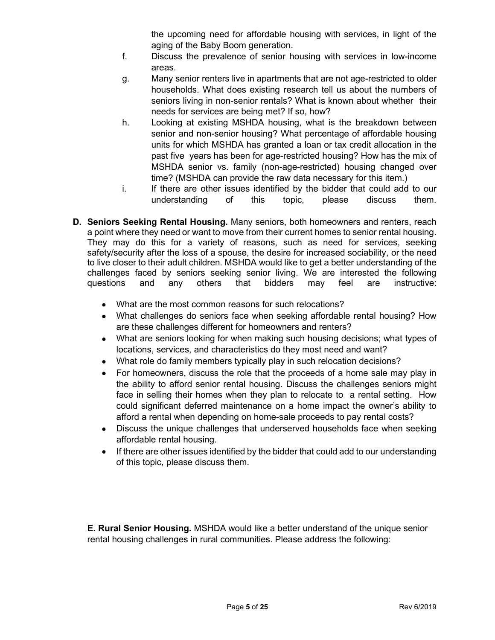the upcoming need for affordable housing with services, in light of the aging of the Baby Boom generation.

- f. Discuss the prevalence of senior housing with services in low-income areas.
- g. Many senior renters live in apartments that are not age-restricted to older households. What does existing research tell us about the numbers of seniors living in non-senior rentals? What is known about whether their needs for services are being met? If so, how?
- h. Looking at existing MSHDA housing, what is the breakdown between senior and non-senior housing? What percentage of affordable housing units for which MSHDA has granted a loan or tax credit allocation in the past five years has been for age-restricted housing? How has the mix of MSHDA senior vs. family (non-age-restricted) housing changed over time? (MSHDA can provide the raw data necessary for this item.)
- i. If there are other issues identified by the bidder that could add to our understanding of this topic, please discuss them.
- **D. Seniors Seeking Rental Housing.** Many seniors, both homeowners and renters, reach a point where they need or want to move from their current homes to senior rental housing. They may do this for a variety of reasons, such as need for services, seeking safety/security after the loss of a spouse, the desire for increased sociability, or the need to live closer to their adult children. MSHDA would like to get a better understanding of the challenges faced by seniors seeking senior living. We are interested the following questions and any others that bidders may feel are instructive:
	- What are the most common reasons for such relocations?
	- What challenges do seniors face when seeking affordable rental housing? How are these challenges different for homeowners and renters?
	- What are seniors looking for when making such housing decisions; what types of locations, services, and characteristics do they most need and want?
	- What role do family members typically play in such relocation decisions?
	- For homeowners, discuss the role that the proceeds of a home sale may play in the ability to afford senior rental housing. Discuss the challenges seniors might face in selling their homes when they plan to relocate to a rental setting. How could significant deferred maintenance on a home impact the owner's ability to afford a rental when depending on home-sale proceeds to pay rental costs?
	- Discuss the unique challenges that underserved households face when seeking affordable rental housing.
	- If there are other issues identified by the bidder that could add to our understanding of this topic, please discuss them.

**E. Rural Senior Housing.** MSHDA would like a better understand of the unique senior rental housing challenges in rural communities. Please address the following: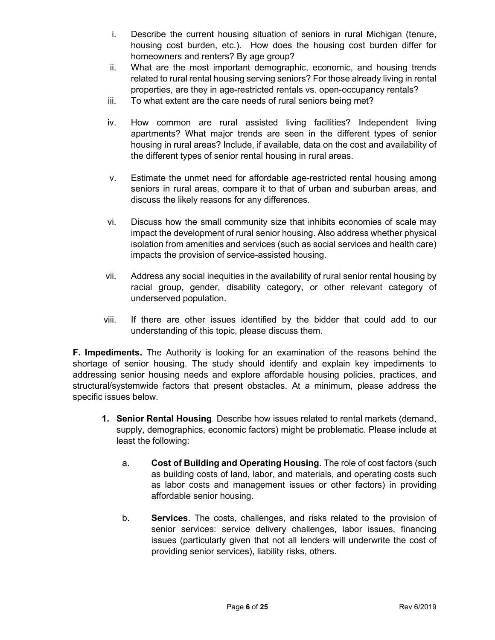- i. Describe the current housing situation of seniors in rural Michigan (tenure, housing cost burden, etc.). How does the housing cost burden differ for homeowners and renters? By age group?
- ii. What are the most important demographic, economic, and housing trends related to rural rental housing serving seniors? For those already living in rental properties, are they in age-restricted rentals vs. open-occupancy rentals?
- iii. To what extent are the care needs of rural seniors being met?
- iv. How common are rural assisted living facilities? Independent living apartments? What major trends are seen in the different types of senior housing in rural areas? Include, if available, data on the cost and availability of the different types of senior rental housing in rural areas.
- v. Estimate the unmet need for affordable age-restricted rental housing among seniors in rural areas, compare it to that of urban and suburban areas, and discuss the likely reasons for any differences.
- vi. Discuss how the small community size that inhibits economies of scale may impact the development of rural senior housing. Also address whether physical isolation from amenities and services (such as social services and health care) impacts the provision of service-assisted housing.
- vii. Address any social inequities in the availability of rural senior rental housing by racial group, gender, disability category, or other relevant category of underserved population.
- viii. If there are other issues identified by the bidder that could add to our understanding of this topic, please discuss them.

**F. Impediments.** The Authority is looking for an examination of the reasons behind the shortage of senior housing. The study should identify and explain key impediments to addressing senior housing needs and explore affordable housing policies, practices, and structural/systemwide factors that present obstacles. At a minimum, please address the specific issues below.

- **1. Senior Rental Housing**. Describe how issues related to rental markets (demand, supply, demographics, economic factors) might be problematic. Please include at least the following:
	- a. **Cost of Building and Operating Housing**. The role of cost factors (such as building costs of land, labor, and materials, and operating costs such as labor costs and management issues or other factors) in providing affordable senior housing.
	- b. **Services**. The costs, challenges, and risks related to the provision of senior services: service delivery challenges, labor issues, financing issues (particularly given that not all lenders will underwrite the cost of providing senior services), liability risks, others.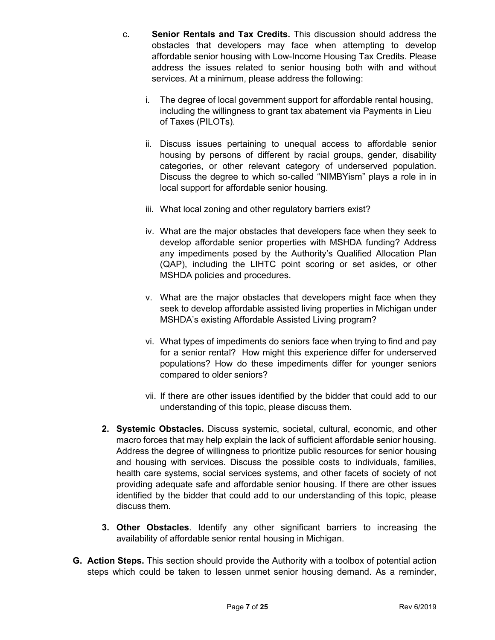- c. **Senior Rentals and Tax Credits.** This discussion should address the obstacles that developers may face when attempting to develop affordable senior housing with Low-Income Housing Tax Credits. Please address the issues related to senior housing both with and without services. At a minimum, please address the following:
	- i. The degree of local government support for affordable rental housing, including the willingness to grant tax abatement via Payments in Lieu of Taxes (PILOTs).
	- ii. Discuss issues pertaining to unequal access to affordable senior housing by persons of different by racial groups, gender, disability categories, or other relevant category of underserved population. Discuss the degree to which so-called "NIMBYism" plays a role in in local support for affordable senior housing.
	- iii. What local zoning and other regulatory barriers exist?
	- iv. What are the major obstacles that developers face when they seek to develop affordable senior properties with MSHDA funding? Address any impediments posed by the Authority's Qualified Allocation Plan (QAP), including the LIHTC point scoring or set asides, or other MSHDA policies and procedures.
	- v. What are the major obstacles that developers might face when they seek to develop affordable assisted living properties in Michigan under MSHDA's existing Affordable Assisted Living program?
	- vi. What types of impediments do seniors face when trying to find and pay for a senior rental? How might this experience differ for underserved populations? How do these impediments differ for younger seniors compared to older seniors?
	- vii. If there are other issues identified by the bidder that could add to our understanding of this topic, please discuss them.
- **2. Systemic Obstacles.** Discuss systemic, societal, cultural, economic, and other macro forces that may help explain the lack of sufficient affordable senior housing. Address the degree of willingness to prioritize public resources for senior housing and housing with services. Discuss the possible costs to individuals, families, health care systems, social services systems, and other facets of society of not providing adequate safe and affordable senior housing. If there are other issues identified by the bidder that could add to our understanding of this topic, please discuss them.
- **3. Other Obstacles**. Identify any other significant barriers to increasing the availability of affordable senior rental housing in Michigan.
- **G. Action Steps.** This section should provide the Authority with a toolbox of potential action steps which could be taken to lessen unmet senior housing demand. As a reminder,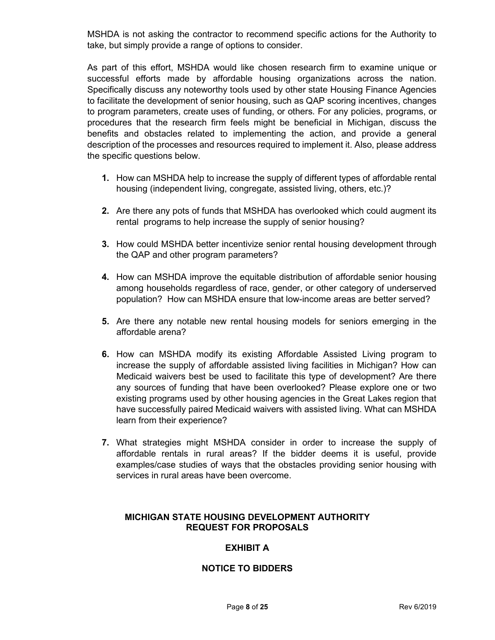MSHDA is not asking the contractor to recommend specific actions for the Authority to take, but simply provide a range of options to consider.

As part of this effort, MSHDA would like chosen research firm to examine unique or successful efforts made by affordable housing organizations across the nation. Specifically discuss any noteworthy tools used by other state Housing Finance Agencies to facilitate the development of senior housing, such as QAP scoring incentives, changes to program parameters, create uses of funding, or others. For any policies, programs, or procedures that the research firm feels might be beneficial in Michigan, discuss the benefits and obstacles related to implementing the action, and provide a general description of the processes and resources required to implement it. Also, please address the specific questions below.

- **1.** How can MSHDA help to increase the supply of different types of affordable rental housing (independent living, congregate, assisted living, others, etc.)?
- **2.** Are there any pots of funds that MSHDA has overlooked which could augment its rental programs to help increase the supply of senior housing?
- **3.** How could MSHDA better incentivize senior rental housing development through the QAP and other program parameters?
- **4.** How can MSHDA improve the equitable distribution of affordable senior housing among households regardless of race, gender, or other category of underserved population? How can MSHDA ensure that low-income areas are better served?
- **5.** Are there any notable new rental housing models for seniors emerging in the affordable arena?
- **6.** How can MSHDA modify its existing Affordable Assisted Living program to increase the supply of affordable assisted living facilities in Michigan? How can Medicaid waivers best be used to facilitate this type of development? Are there any sources of funding that have been overlooked? Please explore one or two existing programs used by other housing agencies in the Great Lakes region that have successfully paired Medicaid waivers with assisted living. What can MSHDA learn from their experience?
- **7.** What strategies might MSHDA consider in order to increase the supply of affordable rentals in rural areas? If the bidder deems it is useful, provide examples/case studies of ways that the obstacles providing senior housing with services in rural areas have been overcome.

# **MICHIGAN STATE HOUSING DEVELOPMENT AUTHORITY REQUEST FOR PROPOSALS**

# **EXHIBIT A**

# **NOTICE TO BIDDERS**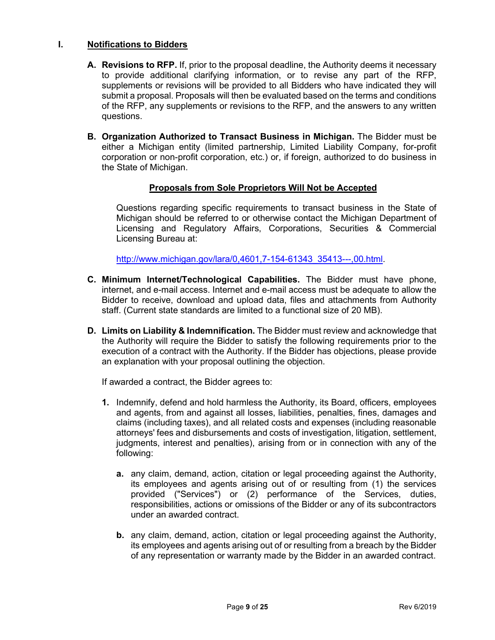# **I. Notifications to Bidders**

- **A. Revisions to RFP.** If, prior to the proposal deadline, the Authority deems it necessary to provide additional clarifying information, or to revise any part of the RFP, supplements or revisions will be provided to all Bidders who have indicated they will submit a proposal. Proposals will then be evaluated based on the terms and conditions of the RFP, any supplements or revisions to the RFP, and the answers to any written questions.
- **B. Organization Authorized to Transact Business in Michigan.** The Bidder must be either a Michigan entity (limited partnership, Limited Liability Company, for-profit corporation or non-profit corporation, etc.) or, if foreign, authorized to do business in the State of Michigan.

#### **Proposals from Sole Proprietors Will Not be Accepted**

Questions regarding specific requirements to transact business in the State of Michigan should be referred to or otherwise contact the Michigan Department of Licensing and Regulatory Affairs, Corporations, Securities & Commercial Licensing Bureau at:

[http://www.michigan.gov/lara/0,4601,7-154-61343\\_35413---,00.html.](http://www.michigan.gov/lara/0,4601,7-154-61343_35413---,00.html)

- **C. Minimum Internet/Technological Capabilities.** The Bidder must have phone, internet, and e-mail access. Internet and e-mail access must be adequate to allow the Bidder to receive, download and upload data, files and attachments from Authority staff. (Current state standards are limited to a functional size of 20 MB).
- **D. Limits on Liability & Indemnification.** The Bidder must review and acknowledge that the Authority will require the Bidder to satisfy the following requirements prior to the execution of a contract with the Authority. If the Bidder has objections, please provide an explanation with your proposal outlining the objection.

If awarded a contract, the Bidder agrees to:

- **1.** Indemnify, defend and hold harmless the Authority, its Board, officers, employees and agents, from and against all losses, liabilities, penalties, fines, damages and claims (including taxes), and all related costs and expenses (including reasonable attorneys' fees and disbursements and costs of investigation, litigation, settlement, judgments, interest and penalties), arising from or in connection with any of the following:
	- **a.** any claim, demand, action, citation or legal proceeding against the Authority, its employees and agents arising out of or resulting from (1) the services provided ("Services") or (2) performance of the Services, duties, responsibilities, actions or omissions of the Bidder or any of its subcontractors under an awarded contract.
	- **b.** any claim, demand, action, citation or legal proceeding against the Authority, its employees and agents arising out of or resulting from a breach by the Bidder of any representation or warranty made by the Bidder in an awarded contract.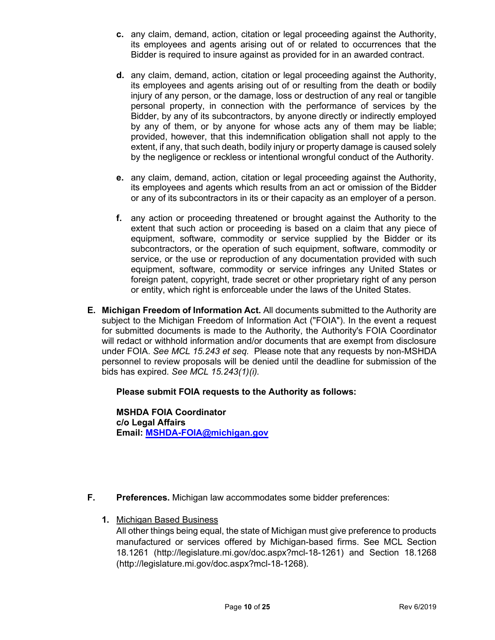- **c.** any claim, demand, action, citation or legal proceeding against the Authority, its employees and agents arising out of or related to occurrences that the Bidder is required to insure against as provided for in an awarded contract.
- **d.** any claim, demand, action, citation or legal proceeding against the Authority, its employees and agents arising out of or resulting from the death or bodily injury of any person, or the damage, loss or destruction of any real or tangible personal property, in connection with the performance of services by the Bidder, by any of its subcontractors, by anyone directly or indirectly employed by any of them, or by anyone for whose acts any of them may be liable; provided, however, that this indemnification obligation shall not apply to the extent, if any, that such death, bodily injury or property damage is caused solely by the negligence or reckless or intentional wrongful conduct of the Authority.
- **e.** any claim, demand, action, citation or legal proceeding against the Authority, its employees and agents which results from an act or omission of the Bidder or any of its subcontractors in its or their capacity as an employer of a person.
- **f.** any action or proceeding threatened or brought against the Authority to the extent that such action or proceeding is based on a claim that any piece of equipment, software, commodity or service supplied by the Bidder or its subcontractors, or the operation of such equipment, software, commodity or service, or the use or reproduction of any documentation provided with such equipment, software, commodity or service infringes any United States or foreign patent, copyright, trade secret or other proprietary right of any person or entity, which right is enforceable under the laws of the United States.
- **E. Michigan Freedom of Information Act.** All documents submitted to the Authority are subject to the Michigan Freedom of Information Act ("FOIA"). In the event a request for submitted documents is made to the Authority, the Authority's FOIA Coordinator will redact or withhold information and/or documents that are exempt from disclosure under FOIA. *See MCL 15.243 et seq.* Please note that any requests by non-MSHDA personnel to review proposals will be denied until the deadline for submission of the bids has expired. *See MCL 15.243(1)(i).*

# **Please submit FOIA requests to the Authority as follows:**

**MSHDA FOIA Coordinator c/o Legal Affairs Email: [MSHDA-FOIA@michigan.gov](mailto:MSHDA-FOIA@michigan.gov)**

- **F. Preferences.** Michigan law accommodates some bidder preferences:
	- **1.** Michigan Based Business
		- All other things being equal, the state of Michigan must give preference to products manufactured or services offered by Michigan-based firms. See MCL Section 18.1261 (http://legislature.mi.gov/doc.aspx?mcl-18-1261) and Section 18.1268 (http://legislature.mi.gov/doc.aspx?mcl-18-1268).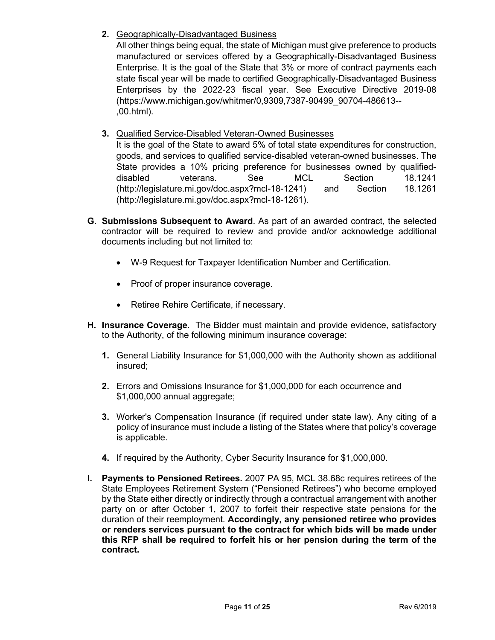**2.** Geographically-Disadvantaged Business

All other things being equal, the state of Michigan must give preference to products manufactured or services offered by a Geographically-Disadvantaged Business Enterprise. It is the goal of the State that 3% or more of contract payments each state fiscal year will be made to certified Geographically-Disadvantaged Business Enterprises by the 2022-23 fiscal year. See Executive Directive 2019-08 (https://www.michigan.gov/whitmer/0,9309,7387-90499\_90704-486613-- ,00.html).

**3.** Qualified Service-Disabled Veteran-Owned Businesses

It is the goal of the State to award 5% of total state expenditures for construction, goods, and services to qualified service-disabled veteran-owned businesses. The State provides a 10% pricing preference for businesses owned by qualifieddisabled veterans. See MCL Section 18.1241 (http://legislature.mi.gov/doc.aspx?mcl-18-1241) and Section 18.1261 (http://legislature.mi.gov/doc.aspx?mcl-18-1261).

- **G. Submissions Subsequent to Award**. As part of an awarded contract, the selected contractor will be required to review and provide and/or acknowledge additional documents including but not limited to:
	- W-9 Request for Taxpayer Identification Number and Certification.
	- Proof of proper insurance coverage.
	- Retiree Rehire Certificate, if necessary.
- **H. Insurance Coverage.** The Bidder must maintain and provide evidence, satisfactory to the Authority, of the following minimum insurance coverage:
	- **1.** General Liability Insurance for \$1,000,000 with the Authority shown as additional insured;
	- **2.** Errors and Omissions Insurance for \$1,000,000 for each occurrence and \$1,000,000 annual aggregate;
	- **3.** Worker's Compensation Insurance (if required under state law). Any citing of a policy of insurance must include a listing of the States where that policy's coverage is applicable.
	- **4.** If required by the Authority, Cyber Security Insurance for \$1,000,000.
- **I. Payments to Pensioned Retirees.** 2007 PA 95, MCL 38.68c requires retirees of the State Employees Retirement System ("Pensioned Retirees") who become employed by the State either directly or indirectly through a contractual arrangement with another party on or after October 1, 2007 to forfeit their respective state pensions for the duration of their reemployment. **Accordingly, any pensioned retiree who provides or renders services pursuant to the contract for which bids will be made under this RFP shall be required to forfeit his or her pension during the term of the contract.**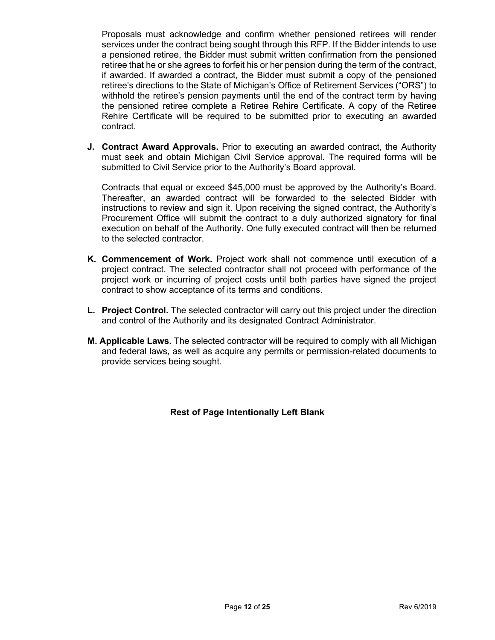Proposals must acknowledge and confirm whether pensioned retirees will render services under the contract being sought through this RFP. If the Bidder intends to use a pensioned retiree, the Bidder must submit written confirmation from the pensioned retiree that he or she agrees to forfeit his or her pension during the term of the contract, if awarded. If awarded a contract, the Bidder must submit a copy of the pensioned retiree's directions to the State of Michigan's Office of Retirement Services ("ORS") to withhold the retiree's pension payments until the end of the contract term by having the pensioned retiree complete a Retiree Rehire Certificate. A copy of the Retiree Rehire Certificate will be required to be submitted prior to executing an awarded contract.

**J. Contract Award Approvals.** Prior to executing an awarded contract, the Authority must seek and obtain Michigan Civil Service approval. The required forms will be submitted to Civil Service prior to the Authority's Board approval.

Contracts that equal or exceed \$45,000 must be approved by the Authority's Board. Thereafter, an awarded contract will be forwarded to the selected Bidder with instructions to review and sign it. Upon receiving the signed contract, the Authority's Procurement Office will submit the contract to a duly authorized signatory for final execution on behalf of the Authority. One fully executed contract will then be returned to the selected contractor.

- **K. Commencement of Work.** Project work shall not commence until execution of a project contract. The selected contractor shall not proceed with performance of the project work or incurring of project costs until both parties have signed the project contract to show acceptance of its terms and conditions.
- **L. Project Control.** The selected contractor will carry out this project under the direction and control of the Authority and its designated Contract Administrator.
- **M. Applicable Laws.** The selected contractor will be required to comply with all Michigan and federal laws, as well as acquire any permits or permission-related documents to provide services being sought.

**Rest of Page Intentionally Left Blank**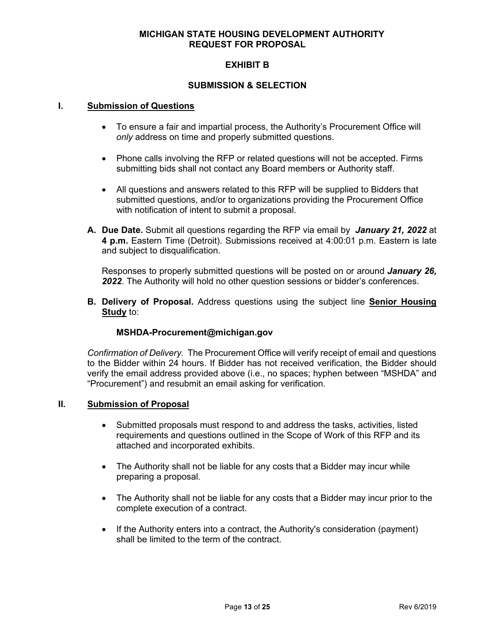## **MICHIGAN STATE HOUSING DEVELOPMENT AUTHORITY REQUEST FOR PROPOSAL**

# **EXHIBIT B**

### **SUBMISSION & SELECTION**

#### **I. Submission of Questions**

- To ensure a fair and impartial process, the Authority's Procurement Office will *only* address on time and properly submitted questions.
- Phone calls involving the RFP or related questions will not be accepted. Firms submitting bids shall not contact any Board members or Authority staff.
- All questions and answers related to this RFP will be supplied to Bidders that submitted questions, and/or to organizations providing the Procurement Office with notification of intent to submit a proposal.
- **A. Due Date.** Submit all questions regarding the RFP via email by *January 21, 2022* at **4 p.m.** Eastern Time (Detroit). Submissions received at 4:00:01 p.m. Eastern is late and subject to disqualification.

Responses to properly submitted questions will be posted on or around *January 26, 2022*. The Authority will hold no other question sessions or bidder's conferences.

**B. Delivery of Proposal.** Address questions using the subject line **Senior Housing Study** to:

# **MSHDA-Procurement@michigan.gov**

*Confirmation of Delivery.* The Procurement Office will verify receipt of email and questions to the Bidder within 24 hours. If Bidder has not received verification, the Bidder should verify the email address provided above (i.e., no spaces; hyphen between "MSHDA" and "Procurement") and resubmit an email asking for verification.

#### **II. Submission of Proposal**

- Submitted proposals must respond to and address the tasks, activities, listed requirements and questions outlined in the Scope of Work of this RFP and its attached and incorporated exhibits.
- The Authority shall not be liable for any costs that a Bidder may incur while preparing a proposal.
- The Authority shall not be liable for any costs that a Bidder may incur prior to the complete execution of a contract.
- If the Authority enters into a contract, the Authority's consideration (payment) shall be limited to the term of the contract.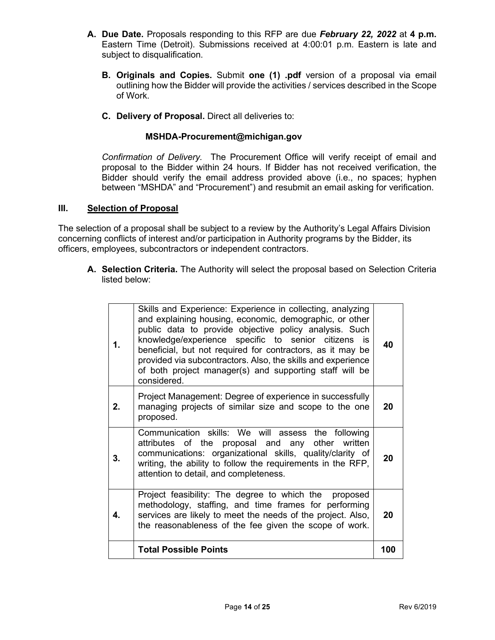- **A. Due Date.** Proposals responding to this RFP are due *February 22, 2022* at **4 p.m.** Eastern Time (Detroit). Submissions received at 4:00:01 p.m. Eastern is late and subject to disqualification.
	- **B. Originals and Copies.** Submit **one (1) .pdf** version of a proposal via email outlining how the Bidder will provide the activities / services described in the Scope of Work.
	- **C. Delivery of Proposal.** Direct all deliveries to:

# **MSHDA-Procurement@michigan.gov**

*Confirmation of Delivery.* The Procurement Office will verify receipt of email and proposal to the Bidder within 24 hours. If Bidder has not received verification, the Bidder should verify the email address provided above (i.e., no spaces; hyphen between "MSHDA" and "Procurement") and resubmit an email asking for verification.

#### **III. Selection of Proposal**

The selection of a proposal shall be subject to a review by the Authority's Legal Affairs Division concerning conflicts of interest and/or participation in Authority programs by the Bidder, its officers, employees, subcontractors or independent contractors.

**A. Selection Criteria.** The Authority will select the proposal based on Selection Criteria listed below:

| 1. | Skills and Experience: Experience in collecting, analyzing<br>and explaining housing, economic, demographic, or other<br>public data to provide objective policy analysis. Such<br>knowledge/experience specific to senior citizens is<br>beneficial, but not required for contractors, as it may be<br>provided via subcontractors. Also, the skills and experience<br>of both project manager(s) and supporting staff will be<br>considered. | 40  |
|----|------------------------------------------------------------------------------------------------------------------------------------------------------------------------------------------------------------------------------------------------------------------------------------------------------------------------------------------------------------------------------------------------------------------------------------------------|-----|
| 2. | Project Management: Degree of experience in successfully<br>managing projects of similar size and scope to the one<br>proposed.                                                                                                                                                                                                                                                                                                                | 20  |
| 3. | Communication skills: We will assess the following<br>attributes of the proposal and any other written<br>communications: organizational skills, quality/clarity of<br>writing, the ability to follow the requirements in the RFP,<br>attention to detail, and completeness.                                                                                                                                                                   | 20  |
| 4. | Project feasibility: The degree to which the proposed<br>methodology, staffing, and time frames for performing<br>services are likely to meet the needs of the project. Also,<br>the reasonableness of the fee given the scope of work.                                                                                                                                                                                                        | 20  |
|    | <b>Total Possible Points</b>                                                                                                                                                                                                                                                                                                                                                                                                                   | 100 |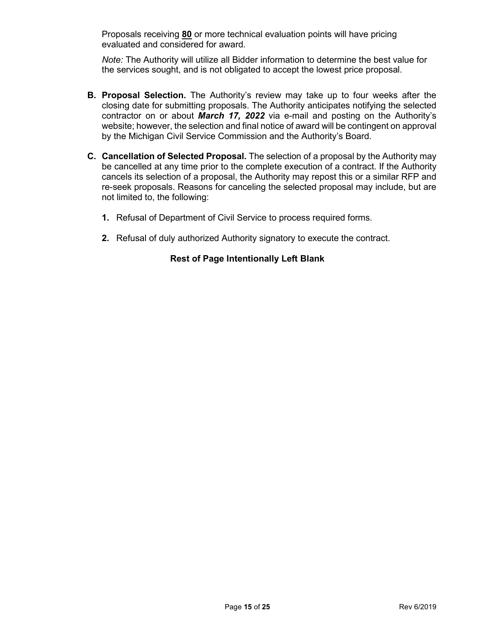Proposals receiving **80** or more technical evaluation points will have pricing evaluated and considered for award.

*Note:* The Authority will utilize all Bidder information to determine the best value for the services sought, and is not obligated to accept the lowest price proposal.

- **B. Proposal Selection.** The Authority's review may take up to four weeks after the closing date for submitting proposals. The Authority anticipates notifying the selected contractor on or about *March 17, 2022* via e-mail and posting on the Authority's website; however, the selection and final notice of award will be contingent on approval by the Michigan Civil Service Commission and the Authority's Board.
- **C. Cancellation of Selected Proposal.** The selection of a proposal by the Authority may be cancelled at any time prior to the complete execution of a contract. If the Authority cancels its selection of a proposal, the Authority may repost this or a similar RFP and re-seek proposals. Reasons for canceling the selected proposal may include, but are not limited to, the following:
	- **1.** Refusal of Department of Civil Service to process required forms.
	- **2.** Refusal of duly authorized Authority signatory to execute the contract.

# **Rest of Page Intentionally Left Blank**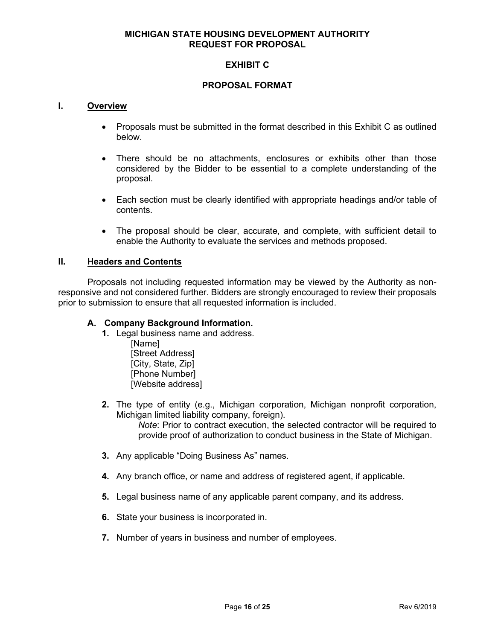## **MICHIGAN STATE HOUSING DEVELOPMENT AUTHORITY REQUEST FOR PROPOSAL**

# **EXHIBIT C**

#### **PROPOSAL FORMAT**

#### **I. Overview**

- Proposals must be submitted in the format described in this Exhibit C as outlined below.
- There should be no attachments, enclosures or exhibits other than those considered by the Bidder to be essential to a complete understanding of the proposal.
- Each section must be clearly identified with appropriate headings and/or table of contents.
- The proposal should be clear, accurate, and complete, with sufficient detail to enable the Authority to evaluate the services and methods proposed.

#### **II. Headers and Contents**

Proposals not including requested information may be viewed by the Authority as nonresponsive and not considered further. Bidders are strongly encouraged to review their proposals prior to submission to ensure that all requested information is included.

#### **A. Company Background Information.**

- **1.** Legal business name and address.
	- [Name] [Street Address] [City, State, Zip] [Phone Number] [Website address]
- **2.** The type of entity (e.g., Michigan corporation, Michigan nonprofit corporation, Michigan limited liability company, foreign).

*Note*: Prior to contract execution, the selected contractor will be required to provide proof of authorization to conduct business in the State of Michigan.

- **3.** Any applicable "Doing Business As" names.
- **4.** Any branch office, or name and address of registered agent, if applicable.
- **5.** Legal business name of any applicable parent company, and its address.
- **6.** State your business is incorporated in.
- **7.** Number of years in business and number of employees.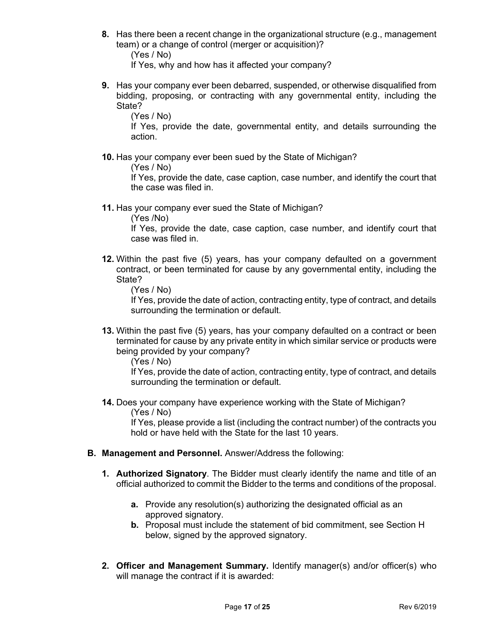**8.** Has there been a recent change in the organizational structure (e.g., management team) or a change of control (merger or acquisition)?

(Yes / No)

If Yes, why and how has it affected your company?

**9.** Has your company ever been debarred, suspended, or otherwise disqualified from bidding, proposing, or contracting with any governmental entity, including the State?

(Yes / No)

If Yes, provide the date, governmental entity, and details surrounding the action.

**10.** Has your company ever been sued by the State of Michigan?

(Yes / No)

If Yes, provide the date, case caption, case number, and identify the court that the case was filed in.

**11.** Has your company ever sued the State of Michigan?

(Yes /No)

If Yes, provide the date, case caption, case number, and identify court that case was filed in.

**12.** Within the past five (5) years, has your company defaulted on a government contract, or been terminated for cause by any governmental entity, including the State?

(Yes / No)

If Yes, provide the date of action, contracting entity, type of contract, and details surrounding the termination or default.

**13.** Within the past five (5) years, has your company defaulted on a contract or been terminated for cause by any private entity in which similar service or products were being provided by your company?

(Yes / No)

If Yes, provide the date of action, contracting entity, type of contract, and details surrounding the termination or default.

**14.** Does your company have experience working with the State of Michigan? (Yes / No)

If Yes, please provide a list (including the contract number) of the contracts you hold or have held with the State for the last 10 years.

- **B. Management and Personnel.** Answer/Address the following:
	- **1. Authorized Signatory**. The Bidder must clearly identify the name and title of an official authorized to commit the Bidder to the terms and conditions of the proposal.
		- **a.** Provide any resolution(s) authorizing the designated official as an approved signatory.
		- **b.** Proposal must include the statement of bid commitment, see Section H below, signed by the approved signatory.
	- **2. Officer and Management Summary.** Identify manager(s) and/or officer(s) who will manage the contract if it is awarded: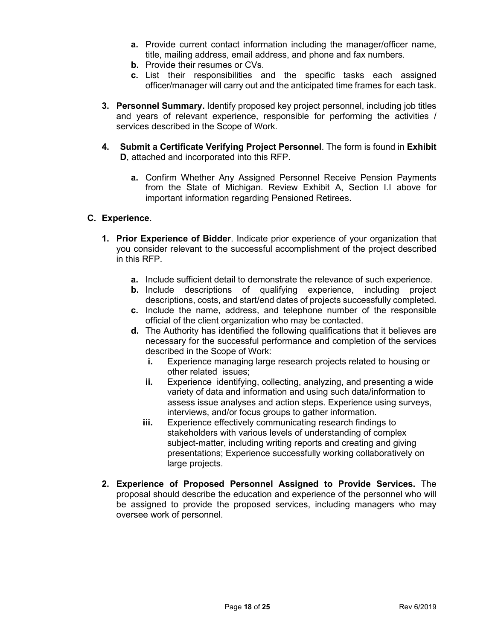- **a.** Provide current contact information including the manager/officer name, title, mailing address, email address, and phone and fax numbers.
- **b.** Provide their resumes or CVs.
- **c.** List their responsibilities and the specific tasks each assigned officer/manager will carry out and the anticipated time frames for each task.
- **3. Personnel Summary.** Identify proposed key project personnel, including job titles and years of relevant experience, responsible for performing the activities / services described in the Scope of Work.
- **4. Submit a Certificate Verifying Project Personnel**. The form is found in **Exhibit D**, attached and incorporated into this RFP.
	- **a.** Confirm Whether Any Assigned Personnel Receive Pension Payments from the State of Michigan. Review Exhibit A, Section I.I above for important information regarding Pensioned Retirees.

# **C. Experience.**

- **1. Prior Experience of Bidder**. Indicate prior experience of your organization that you consider relevant to the successful accomplishment of the project described in this RFP.
	- **a.** Include sufficient detail to demonstrate the relevance of such experience.
	- **b.** Include descriptions of qualifying experience, including project descriptions, costs, and start/end dates of projects successfully completed.
	- **c.** Include the name, address, and telephone number of the responsible official of the client organization who may be contacted.
	- **d.** The Authority has identified the following qualifications that it believes are necessary for the successful performance and completion of the services described in the Scope of Work:
		- **i.** Experience managing large research projects related to housing or other related issues;
		- **ii.** Experience identifying, collecting, analyzing, and presenting a wide variety of data and information and using such data/information to assess issue analyses and action steps. Experience using surveys, interviews, and/or focus groups to gather information.
		- **iii.** Experience effectively communicating research findings to stakeholders with various levels of understanding of complex subject-matter, including writing reports and creating and giving presentations; Experience successfully working collaboratively on large projects.
- **2. Experience of Proposed Personnel Assigned to Provide Services.** The proposal should describe the education and experience of the personnel who will be assigned to provide the proposed services, including managers who may oversee work of personnel.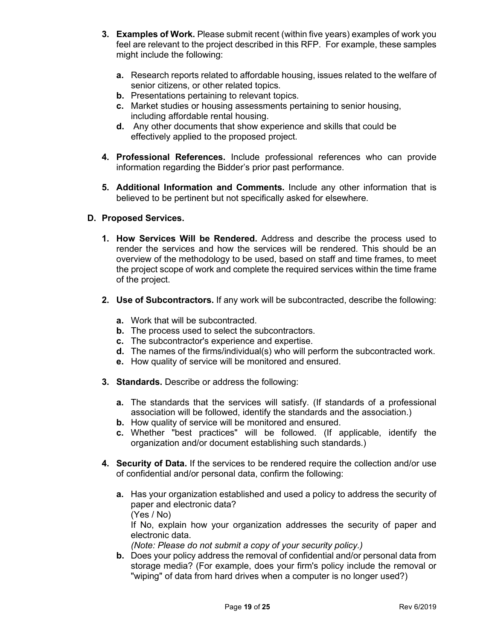- **3. Examples of Work.** Please submit recent (within five years) examples of work you feel are relevant to the project described in this RFP. For example, these samples might include the following:
	- **a.** Research reports related to affordable housing, issues related to the welfare of senior citizens, or other related topics.
	- **b.** Presentations pertaining to relevant topics.
	- **c.** Market studies or housing assessments pertaining to senior housing, including affordable rental housing.
	- **d.** Any other documents that show experience and skills that could be effectively applied to the proposed project.
- **4. Professional References.** Include professional references who can provide information regarding the Bidder's prior past performance.
- **5. Additional Information and Comments.** Include any other information that is believed to be pertinent but not specifically asked for elsewhere.

# **D. Proposed Services.**

- **1. How Services Will be Rendered.** Address and describe the process used to render the services and how the services will be rendered. This should be an overview of the methodology to be used, based on staff and time frames, to meet the project scope of work and complete the required services within the time frame of the project.
- **2. Use of Subcontractors.** If any work will be subcontracted, describe the following:
	- **a.** Work that will be subcontracted.
	- **b.** The process used to select the subcontractors.
	- **c.** The subcontractor's experience and expertise.
	- **d.** The names of the firms/individual(s) who will perform the subcontracted work.
	- **e.** How quality of service will be monitored and ensured.
- **3. Standards.** Describe or address the following:
	- **a.** The standards that the services will satisfy. (If standards of a professional association will be followed, identify the standards and the association.)
	- **b.** How quality of service will be monitored and ensured.
	- **c.** Whether "best practices" will be followed. (If applicable, identify the organization and/or document establishing such standards.)
- **4. Security of Data.** If the services to be rendered require the collection and/or use of confidential and/or personal data, confirm the following:
	- **a.** Has your organization established and used a policy to address the security of paper and electronic data?
		- (Yes / No)

If No, explain how your organization addresses the security of paper and electronic data.

*(Note: Please do not submit a copy of your security policy.)* 

**b.** Does your policy address the removal of confidential and/or personal data from storage media? (For example, does your firm's policy include the removal or "wiping" of data from hard drives when a computer is no longer used?)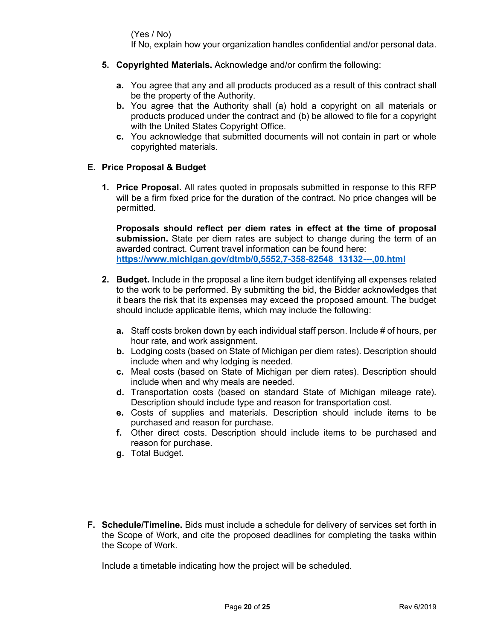(Yes / No)

If No, explain how your organization handles confidential and/or personal data.

- **5. Copyrighted Materials.** Acknowledge and/or confirm the following:
	- **a.** You agree that any and all products produced as a result of this contract shall be the property of the Authority.
	- **b.** You agree that the Authority shall (a) hold a copyright on all materials or products produced under the contract and (b) be allowed to file for a copyright with the United States Copyright Office.
	- **c.** You acknowledge that submitted documents will not contain in part or whole copyrighted materials.

# **E. Price Proposal & Budget**

**1. Price Proposal.** All rates quoted in proposals submitted in response to this RFP will be a firm fixed price for the duration of the contract. No price changes will be permitted.

**Proposals should reflect per diem rates in effect at the time of proposal submission.** State per diem rates are subject to change during the term of an awarded contract. Current travel information can be found here: **[https://www.michigan.gov/dtmb/0,5552,7-358-82548\\_13132---,00.html](https://gcc02.safelinks.protection.outlook.com/?url=https%3A%2F%2Fwww.michigan.gov%2Fdtmb%2F0%2C5552%2C7-358-82548_13132---%2C00.html&data=04%7C01%7CKellyJ11%40michigan.gov%7C80c71075c673484bccb908d8c2013c38%7Cd5fb7087377742ad966a892ef47225d1%7C0%7C0%7C637472657839283220%7CUnknown%7CTWFpbGZsb3d8eyJWIjoiMC4wLjAwMDAiLCJQIjoiV2luMzIiLCJBTiI6Ik1haWwiLCJXVCI6Mn0%3D%7C1000&sdata=eWSXmORdn1xUQsCq6EYuITVUPq%2FyVkY%2BEmtBpKicxC8%3D&reserved=0)**

- **2. Budget.** Include in the proposal a line item budget identifying all expenses related to the work to be performed. By submitting the bid, the Bidder acknowledges that it bears the risk that its expenses may exceed the proposed amount. The budget should include applicable items, which may include the following:
	- **a.** Staff costs broken down by each individual staff person. Include # of hours, per hour rate, and work assignment.
	- **b.** Lodging costs (based on State of Michigan per diem rates). Description should include when and why lodging is needed.
	- **c.** Meal costs (based on State of Michigan per diem rates). Description should include when and why meals are needed.
	- **d.** Transportation costs (based on standard State of Michigan mileage rate). Description should include type and reason for transportation cost.
	- **e.** Costs of supplies and materials. Description should include items to be purchased and reason for purchase.
	- **f.** Other direct costs. Description should include items to be purchased and reason for purchase.
	- **g.** Total Budget.
- **F. Schedule/Timeline.** Bids must include a schedule for delivery of services set forth in the Scope of Work, and cite the proposed deadlines for completing the tasks within the Scope of Work.

Include a timetable indicating how the project will be scheduled.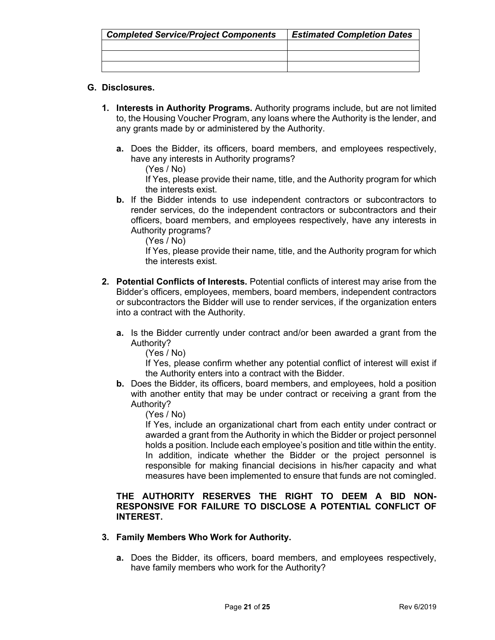| <b>Completed Service/Project Components</b> | <b>Estimated Completion Dates</b> |
|---------------------------------------------|-----------------------------------|
|                                             |                                   |
|                                             |                                   |
|                                             |                                   |

# **G. Disclosures.**

- **1. Interests in Authority Programs.** Authority programs include, but are not limited to, the Housing Voucher Program, any loans where the Authority is the lender, and any grants made by or administered by the Authority.
	- **a.** Does the Bidder, its officers, board members, and employees respectively, have any interests in Authority programs?

(Yes / No)

If Yes, please provide their name, title, and the Authority program for which the interests exist.

**b.** If the Bidder intends to use independent contractors or subcontractors to render services, do the independent contractors or subcontractors and their officers, board members, and employees respectively, have any interests in Authority programs?

(Yes / No)

If Yes, please provide their name, title, and the Authority program for which the interests exist.

- **2. Potential Conflicts of Interests.** Potential conflicts of interest may arise from the Bidder's officers, employees, members, board members, independent contractors or subcontractors the Bidder will use to render services, if the organization enters into a contract with the Authority.
	- **a.** Is the Bidder currently under contract and/or been awarded a grant from the Authority?

(Yes / No)

If Yes, please confirm whether any potential conflict of interest will exist if the Authority enters into a contract with the Bidder.

**b.** Does the Bidder, its officers, board members, and employees, hold a position with another entity that may be under contract or receiving a grant from the Authority?

(Yes / No)

If Yes, include an organizational chart from each entity under contract or awarded a grant from the Authority in which the Bidder or project personnel holds a position. Include each employee's position and title within the entity. In addition, indicate whether the Bidder or the project personnel is responsible for making financial decisions in his/her capacity and what measures have been implemented to ensure that funds are not comingled.

# **THE AUTHORITY RESERVES THE RIGHT TO DEEM A BID NON-RESPONSIVE FOR FAILURE TO DISCLOSE A POTENTIAL CONFLICT OF INTEREST.**

# **3. Family Members Who Work for Authority.**

**a.** Does the Bidder, its officers, board members, and employees respectively, have family members who work for the Authority?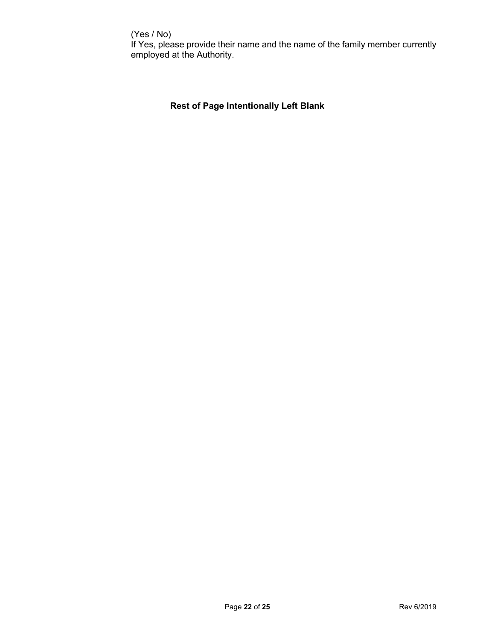# (Yes / No)

If Yes, please provide their name and the name of the family member currently employed at the Authority.

# **Rest of Page Intentionally Left Blank**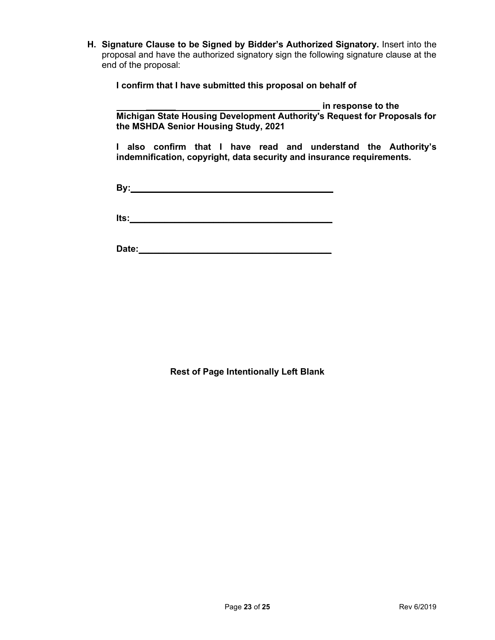**H. Signature Clause to be Signed by Bidder's Authorized Signatory.** Insert into the proposal and have the authorized signatory sign the following signature clause at the end of the proposal:

**I confirm that I have submitted this proposal on behalf of** 

*\_\_\_\_\_\_* **in response to the** 

**Michigan State Housing Development Authority's Request for Proposals for the MSHDA Senior Housing Study, 2021**

**I also confirm that I have read and understand the Authority's indemnification, copyright, data security and insurance requirements.** 

**By:\_\_\_\_\_\_\_\_\_\_\_\_\_\_\_\_\_\_\_\_\_\_\_\_\_\_\_\_\_\_\_\_\_\_\_\_\_\_\_\_\_**

**Its:** 

**Date:\_\_\_\_\_\_\_\_\_\_\_\_\_\_\_\_\_\_\_\_\_\_\_\_\_\_\_\_\_\_\_\_\_\_\_\_\_\_\_**

**Rest of Page Intentionally Left Blank**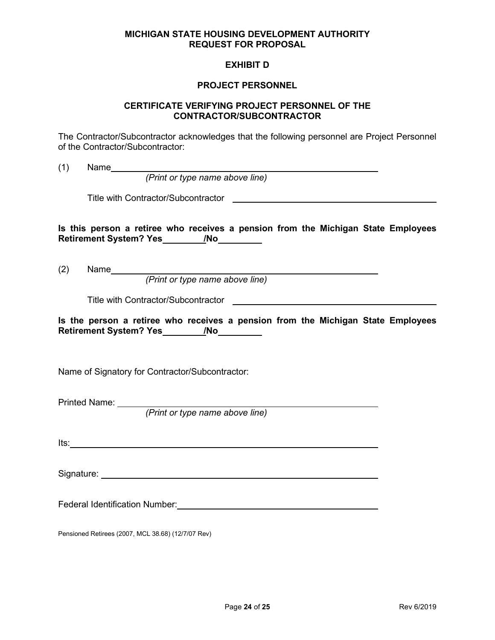#### **MICHIGAN STATE HOUSING DEVELOPMENT AUTHORITY REQUEST FOR PROPOSAL**

## **EXHIBIT D**

#### **PROJECT PERSONNEL**

#### **CERTIFICATE VERIFYING PROJECT PERSONNEL OF THE CONTRACTOR/SUBCONTRACTOR**

The Contractor/Subcontractor acknowledges that the following personnel are Project Personnel of the Contractor/Subcontractor:

(1) Name

*(Print or type name above line)*

Title with Contractor/Subcontractor

**Is this person a retiree who receives a pension from the Michigan State Employees**  Retirement System? Yes */No* 

(2) Name

*(Print or type name above line)*

Title with Contractor/Subcontractor

**Is the person a retiree who receives a pension from the Michigan State Employees Retirement System? Yes /No**

Name of Signatory for Contractor/Subcontractor:

Printed Name:

*(Print or type name above line)*

Its:

Signature: the state of the state of the state of the state of the state of the state of the state of the state of the state of the state of the state of the state of the state of the state of the state of the state of the

Federal Identification Number:

Pensioned Retirees (2007, MCL 38.68) (12/7/07 Rev)